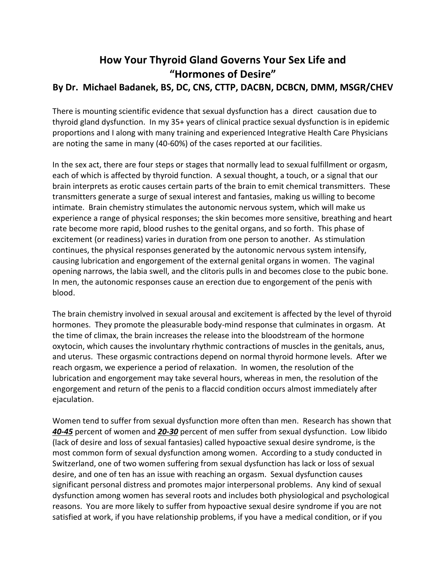## **How Your Thyroid Gland Governs Your Sex Life and "Hormones of Desire" By Dr. Michael Badanek, BS, DC, CNS, CTTP, DACBN, DCBCN, DMM, MSGR/CHEV**

There is mounting scientific evidence that sexual dysfunction has a direct causation due to thyroid gland dysfunction. In my 35+ years of clinical practice sexual dysfunction is in epidemic proportions and I along with many training and experienced Integrative Health Care Physicians are noting the same in many (40-60%) of the cases reported at our facilities.

In the sex act, there are four steps or stages that normally lead to sexual fulfillment or orgasm, each of which is affected by thyroid function. A sexual thought, a touch, or a signal that our brain interprets as erotic causes certain parts of the brain to emit chemical transmitters. These transmitters generate a surge of sexual interest and fantasies, making us willing to become intimate. Brain chemistry stimulates the autonomic nervous system, which will make us experience a range of physical responses; the skin becomes more sensitive, breathing and heart rate become more rapid, blood rushes to the genital organs, and so forth. This phase of excitement (or readiness) varies in duration from one person to another. As stimulation continues, the physical responses generated by the autonomic nervous system intensify, causing lubrication and engorgement of the external genital organs in women. The vaginal opening narrows, the labia swell, and the clitoris pulls in and becomes close to the pubic bone. In men, the autonomic responses cause an erection due to engorgement of the penis with blood.

The brain chemistry involved in sexual arousal and excitement is affected by the level of thyroid hormones. They promote the pleasurable body-mind response that culminates in orgasm. At the time of climax, the brain increases the release into the bloodstream of the hormone oxytocin, which causes the involuntary rhythmic contractions of muscles in the genitals, anus, and uterus. These orgasmic contractions depend on normal thyroid hormone levels. After we reach orgasm, we experience a period of relaxation. In women, the resolution of the lubrication and engorgement may take several hours, whereas in men, the resolution of the engorgement and return of the penis to a flaccid condition occurs almost immediately after ejaculation.

Women tend to suffer from sexual dysfunction more often than men. Research has shown that *40-45* percent of women and *20-30* percent of men suffer from sexual dysfunction. Low libido (lack of desire and loss of sexual fantasies) called hypoactive sexual desire syndrome, is the most common form of sexual dysfunction among women. According to a study conducted in Switzerland, one of two women suffering from sexual dysfunction has lack or loss of sexual desire, and one of ten has an issue with reaching an orgasm. Sexual dysfunction causes significant personal distress and promotes major interpersonal problems. Any kind of sexual dysfunction among women has several roots and includes both physiological and psychological reasons. You are more likely to suffer from hypoactive sexual desire syndrome if you are not satisfied at work, if you have relationship problems, if you have a medical condition, or if you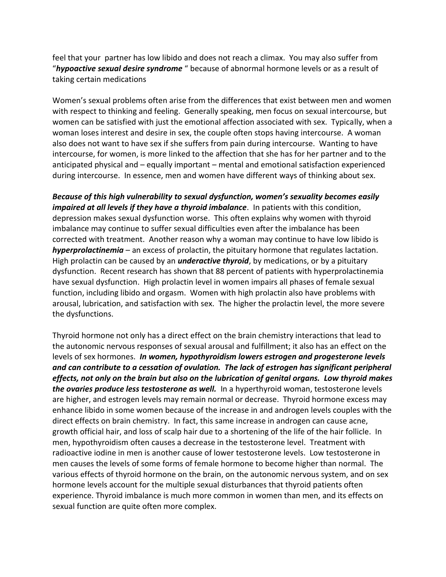feel that your partner has low libido and does not reach a climax. You may also suffer from "*hypoactive sexual desire syndrome* " because of abnormal hormone levels or as a result of taking certain medications

Women's sexual problems often arise from the differences that exist between men and women with respect to thinking and feeling. Generally speaking, men focus on sexual intercourse, but women can be satisfied with just the emotional affection associated with sex. Typically, when a woman loses interest and desire in sex, the couple often stops having intercourse. A woman also does not want to have sex if she suffers from pain during intercourse. Wanting to have intercourse, for women, is more linked to the affection that she has for her partner and to the anticipated physical and – equally important – mental and emotional satisfaction experienced during intercourse. In essence, men and women have different ways of thinking about sex.

*Because of this high vulnerability to sexual dysfunction, women's sexuality becomes easily impaired at all levels if they have a thyroid imbalance*. In patients with this condition, depression makes sexual dysfunction worse. This often explains why women with thyroid imbalance may continue to suffer sexual difficulties even after the imbalance has been corrected with treatment. Another reason why a woman may continue to have low libido is *hyperprolactinemia* – an excess of prolactin, the pituitary hormone that regulates lactation. High prolactin can be caused by an *underactive thyroid*, by medications, or by a pituitary dysfunction. Recent research has shown that 88 percent of patients with hyperprolactinemia have sexual dysfunction. High prolactin level in women impairs all phases of female sexual function, including libido and orgasm. Women with high prolactin also have problems with arousal, lubrication, and satisfaction with sex. The higher the prolactin level, the more severe the dysfunctions.

Thyroid hormone not only has a direct effect on the brain chemistry interactions that lead to the autonomic nervous responses of sexual arousal and fulfillment; it also has an effect on the levels of sex hormones. *In women, hypothyroidism lowers estrogen and progesterone levels and can contribute to a cessation of ovulation. The lack of estrogen has significant peripheral effects, not only on the brain but also on the lubrication of genital organs. Low thyroid makes the ovaries produce less testosterone as well.* In a hyperthyroid woman, testosterone levels are higher, and estrogen levels may remain normal or decrease. Thyroid hormone excess may enhance libido in some women because of the increase in and androgen levels couples with the direct effects on brain chemistry. In fact, this same increase in androgen can cause acne, growth official hair, and loss of scalp hair due to a shortening of the life of the hair follicle. In men, hypothyroidism often causes a decrease in the testosterone level. Treatment with radioactive iodine in men is another cause of lower testosterone levels. Low testosterone in men causes the levels of some forms of female hormone to become higher than normal. The various effects of thyroid hormone on the brain, on the autonomic nervous system, and on sex hormone levels account for the multiple sexual disturbances that thyroid patients often experience. Thyroid imbalance is much more common in women than men, and its effects on sexual function are quite often more complex.